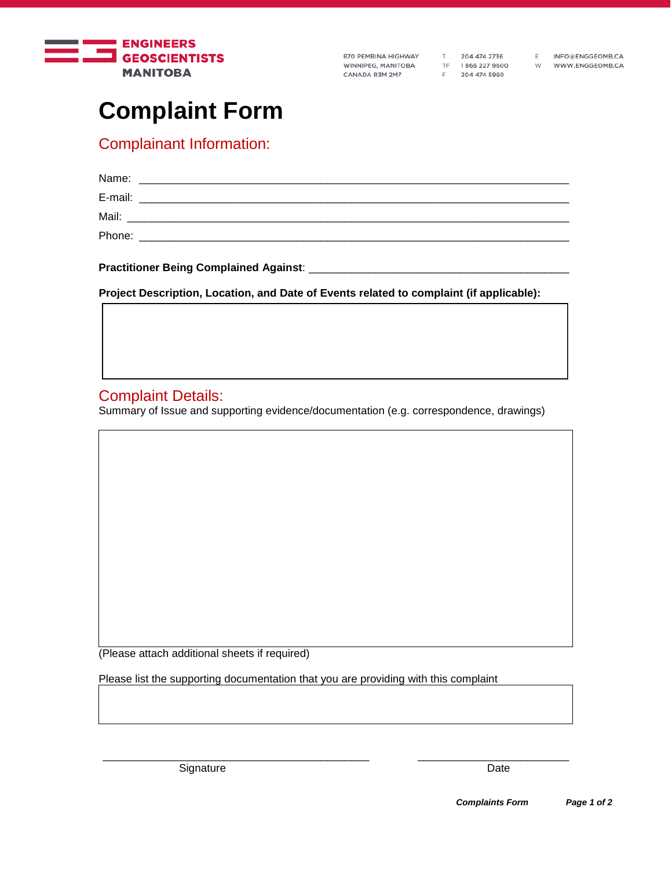

870 PEMBINA HIGHWAY WINNIPEG, MANITOBA CANADA R3M 2M7

T 204 474 2736 TF 1866 227 9600<br>F 204 474 5960

INFO@ENGGEOMB.CA W WWW.ENGGEOMB.CA

 $E$ 

# **Complaint Form**

## Complainant Information:

| Name:   |  |
|---------|--|
| E-mail: |  |
| Mail:   |  |
| Phone:  |  |
|         |  |

**Practitioner Being Complained Against:** 

**Project Description, Location, and Date of Events related to complaint (if applicable):**

### Complaint Details:

Summary of Issue and supporting evidence/documentation (e.g. correspondence, drawings)

(Please attach additional sheets if required)

Please list the supporting documentation that you are providing with this complaint

Signature Date Date Contract and Date Date Date